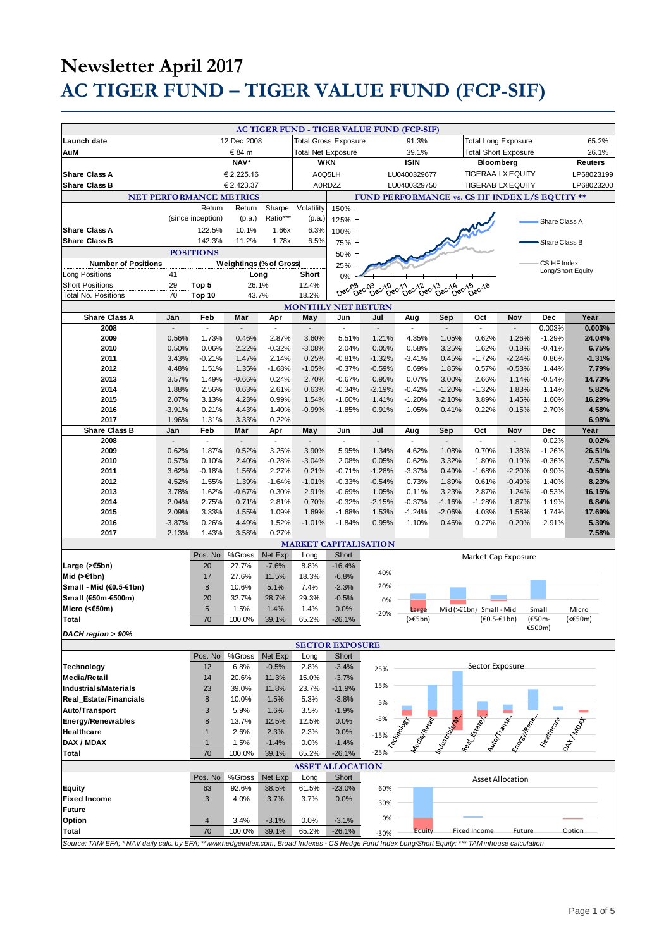|                               |                                                                                                                                                     |                   |                                         |                             |                          |          | <b>AC TIGER FUND - TIGER VALUE FUND (FCP-SIF)</b> |                     |                             |                             |                         |                   |                 |
|-------------------------------|-----------------------------------------------------------------------------------------------------------------------------------------------------|-------------------|-----------------------------------------|-----------------------------|--------------------------|----------|---------------------------------------------------|---------------------|-----------------------------|-----------------------------|-------------------------|-------------------|-----------------|
| Launch date                   | 12 Dec 2008                                                                                                                                         |                   |                                         | <b>Total Gross Exposure</b> |                          |          | 91.3%                                             |                     | <b>Total Long Exposure</b>  |                             |                         | 65.2%             |                 |
| AuM                           | € 84 m                                                                                                                                              |                   |                                         |                             |                          |          |                                                   |                     | <b>Total Short Exposure</b> |                             |                         | 26.1%             |                 |
|                               |                                                                                                                                                     |                   | <b>Total Net Exposure</b><br><b>WKN</b> |                             |                          | 39.1%    |                                                   |                     |                             |                             |                         |                   |                 |
|                               | NAV*                                                                                                                                                |                   |                                         |                             |                          |          | <b>ISIN</b>                                       |                     | Bloomberg                   |                             |                         | <b>Reuters</b>    |                 |
| <b>Share Class A</b>          | € 2,225.16                                                                                                                                          |                   |                                         | A0Q5LH                      |                          |          | LU0400329677                                      |                     | <b>TIGERAA LX EQUITY</b>    |                             |                         | LP68023199        |                 |
| <b>Share Class B</b>          |                                                                                                                                                     |                   | € 2,423.37                              |                             |                          | A0RDZZ   |                                                   | LU0400329750        |                             | <b>TIGERAB LX EQUITY</b>    |                         |                   | LP68023200      |
|                               |                                                                                                                                                     |                   |                                         |                             |                          |          |                                                   |                     |                             |                             |                         |                   |                 |
|                               |                                                                                                                                                     |                   | <b>NET PERFORMANCE METRICS</b>          |                             |                          |          | FUND PERFORMANCE vs. CS HF INDEX L/S EQUITY **    |                     |                             |                             |                         |                   |                 |
|                               |                                                                                                                                                     | Return            | Return                                  | Sharpe                      | Volatility               | 150%     |                                                   |                     |                             |                             |                         |                   |                 |
|                               |                                                                                                                                                     | (since inception) | (p.a.)                                  | Ratio***                    | (p.a.)                   | 125%     |                                                   |                     |                             |                             |                         |                   |                 |
|                               |                                                                                                                                                     |                   |                                         |                             |                          |          |                                                   |                     |                             |                             |                         | Share Class A     |                 |
| <b>Share Class A</b>          |                                                                                                                                                     | 122.5%            | 10.1%                                   | 1.66x                       | 6.3%                     | 100%     |                                                   |                     |                             |                             |                         |                   |                 |
| <b>Share Class B</b>          |                                                                                                                                                     | 142.3%            | 11.2%                                   | 1.78x                       | 6.5%                     | 75%      |                                                   |                     |                             |                             |                         | Share Class B     |                 |
|                               |                                                                                                                                                     | <b>POSITIONS</b>  |                                         |                             |                          | 50%      |                                                   |                     |                             |                             |                         |                   |                 |
|                               |                                                                                                                                                     |                   |                                         |                             |                          |          |                                                   |                     |                             |                             |                         |                   |                 |
| <b>Number of Positions</b>    |                                                                                                                                                     |                   | <b>Weightings (% of Gross)</b>          |                             |                          | 25%      |                                                   |                     |                             |                             |                         | CS HF Index       |                 |
| <b>Long Positions</b>         | 41                                                                                                                                                  |                   |                                         | Long                        | Short                    | 0%       |                                                   |                     |                             |                             |                         | Long/Short Equity |                 |
| <b>Short Positions</b>        | 29                                                                                                                                                  | Top 5             | 26.1%                                   |                             | 12.4%                    |          | Dec <sub>09</sub>                                 | bec-12<br>$6e^{13}$ | Dec-14<br>$0e^{c^{15}}$     | $\tilde{D}^{ec}$ 16         |                         |                   |                 |
| <b>Total No. Positions</b>    | 70                                                                                                                                                  | Top 10            |                                         | 43.7%                       | 18.2%                    | Dec-08   | Dec-10 <sub>ec-11</sub>                           |                     |                             |                             |                         |                   |                 |
|                               |                                                                                                                                                     |                   |                                         |                             |                          |          |                                                   |                     |                             |                             |                         |                   |                 |
| <b>MONTHLY NET RETURN</b>     |                                                                                                                                                     |                   |                                         |                             |                          |          |                                                   |                     |                             |                             |                         |                   |                 |
| <b>Share Class A</b>          | Jan                                                                                                                                                 | Feb               | Mar                                     | Apr                         | May                      | Jun      | Jul                                               | Aug                 | Sep                         | Oct                         | Nov                     | Dec               | Year            |
| 2008                          |                                                                                                                                                     |                   |                                         |                             | $\overline{\phantom{a}}$ | ä,       |                                                   |                     |                             | $\overline{\phantom{a}}$    |                         | 0.003%            | 0.003%          |
| 2009                          | 0.56%                                                                                                                                               | 1.73%             | 0.46%                                   | 2.87%                       | 3.60%                    | 5.51%    | 1.21%                                             | 4.35%               | 1.05%                       | 0.62%                       | 1.26%                   | $-1.29%$          | 24.04%          |
|                               |                                                                                                                                                     |                   |                                         |                             |                          |          |                                                   |                     |                             |                             |                         |                   |                 |
| 2010                          | 0.50%                                                                                                                                               | 0.06%             | 2.22%                                   | $-0.32%$                    | $-3.08%$                 | 2.04%    | 0.05%                                             | 0.58%               | 3.25%                       | 1.62%                       | 0.18%                   | $-0.41%$          | 6.75%           |
| 2011                          | 3.43%                                                                                                                                               | $-0.21%$          | 1.47%                                   | 2.14%                       | 0.25%                    | $-0.81%$ | $-1.32%$                                          | $-3.41%$            | 0.45%                       | $-1.72%$                    | $-2.24%$                | 0.86%             | $-1.31%$        |
| 2012                          | 4.48%                                                                                                                                               | 1.51%             | 1.35%                                   | $-1.68%$                    | $-1.05%$                 | $-0.37%$ | $-0.59%$                                          | 0.69%               | 1.85%                       | 0.57%                       | $-0.53%$                | 1.44%             | 7.79%           |
| 2013                          | 3.57%                                                                                                                                               | 1.49%             | $-0.66%$                                | 0.24%                       | 2.70%                    | $-0.67%$ | 0.95%                                             | 0.07%               | 3.00%                       | 2.66%                       | 1.14%                   | $-0.54%$          | 14.73%          |
| 2014                          | 1.88%                                                                                                                                               | 2.56%             | 0.63%                                   | 2.61%                       | 0.63%                    | $-0.34%$ | $-2.19%$                                          | $-0.42%$            | $-1.20%$                    | $-1.32%$                    | 1.83%                   | 1.14%             | 5.82%           |
| 2015                          | 2.07%                                                                                                                                               | 3.13%             | 4.23%                                   | 0.99%                       | 1.54%                    | $-1.60%$ | 1.41%                                             | $-1.20%$            | $-2.10%$                    | 3.89%                       | 1.45%                   | 1.60%             | 16.29%          |
|                               |                                                                                                                                                     |                   |                                         |                             |                          |          |                                                   |                     |                             |                             |                         |                   |                 |
| 2016                          | $-3.91%$                                                                                                                                            | 0.21%             | 4.43%                                   | 1.40%                       | $-0.99%$                 | $-1.85%$ | 0.91%                                             | 1.05%               | 0.41%                       | 0.22%                       | 0.15%                   | 2.70%             | 4.58%           |
| 2017                          | 1.96%                                                                                                                                               | 1.31%             | 3.33%                                   | 0.22%                       |                          |          |                                                   |                     |                             |                             |                         |                   | 6.98%           |
| <b>Share Class B</b>          | Jan                                                                                                                                                 | Feb               | Mar                                     | Apr                         | May                      | Jun      | Jul                                               | Aug                 | Sep                         | Oct                         | Nov                     | Dec               | Year            |
| 2008                          |                                                                                                                                                     | ÷,                |                                         |                             |                          |          |                                                   | ٠                   |                             | $\overline{\phantom{a}}$    |                         | 0.02%             | 0.02%           |
| 2009                          | 0.62%                                                                                                                                               | 1.87%             | 0.52%                                   | 3.25%                       | 3.90%                    | 5.95%    | 1.34%                                             | 4.62%               | 1.08%                       | 0.70%                       | 1.38%                   | $-1.26%$          | 26.51%          |
|                               |                                                                                                                                                     |                   |                                         |                             |                          |          |                                                   |                     |                             |                             |                         |                   |                 |
| 2010                          | 0.57%                                                                                                                                               | 0.10%             | 2.40%                                   | $-0.28%$                    | $-3.04%$                 | 2.08%    | 0.05%                                             | 0.62%               | 3.32%                       | 1.80%                       | 0.19%                   | $-0.36%$          | 7.57%           |
| 2011                          | 3.62%                                                                                                                                               | $-0.18%$          | 1.56%                                   | 2.27%                       | 0.21%                    | $-0.71%$ | $-1.28%$                                          | $-3.37%$            | 0.49%                       | $-1.68%$                    | $-2.20%$                | 0.90%             | $-0.59%$        |
| 2012                          | 4.52%                                                                                                                                               | 1.55%             | 1.39%                                   | $-1.64%$                    | $-1.01%$                 | $-0.33%$ | $-0.54%$                                          | 0.73%               | 1.89%                       | 0.61%                       | $-0.49%$                | 1.40%             | 8.23%           |
| 2013                          | 3.78%                                                                                                                                               | 1.62%             | $-0.67%$                                | 0.30%                       | 2.91%                    | $-0.69%$ | 1.05%                                             | 0.11%               | 3.23%                       | 2.87%                       | 1.24%                   | $-0.53%$          | 16.15%          |
| 2014                          | 2.04%                                                                                                                                               | 2.75%             | 0.71%                                   | 2.81%                       | 0.70%                    | $-0.32%$ | $-2.15%$                                          | $-0.37%$            | $-1.16%$                    | $-1.28%$                    | 1.87%                   | 1.19%             | 6.84%           |
|                               |                                                                                                                                                     |                   |                                         |                             |                          |          |                                                   |                     |                             |                             |                         |                   |                 |
| 2015                          | 2.09%                                                                                                                                               | 3.33%             | 4.55%                                   | 1.09%                       | 1.69%                    | $-1.68%$ | 1.53%                                             | $-1.24%$            | $-2.06%$                    | 4.03%                       | 1.58%                   | 1.74%             | 17.69%          |
| 2016                          | $-3.87%$                                                                                                                                            | 0.26%             | 4.49%                                   | 1.52%                       | $-1.01%$                 | $-1.84%$ | 0.95%                                             | 1.10%               | 0.46%                       | 0.27%                       | 0.20%                   | 2.91%             | 5.30%           |
| 2017                          | 2.13%                                                                                                                                               | 1.43%             | 3.58%                                   | 0.27%                       |                          |          |                                                   |                     |                             |                             |                         |                   | 7.58%           |
|                               |                                                                                                                                                     |                   |                                         |                             |                          |          | <b>MARKET CAPITALISATION</b>                      |                     |                             |                             |                         |                   |                 |
|                               |                                                                                                                                                     | Pos. No           | %Gross                                  | Net Exp                     |                          | Short    |                                                   |                     |                             |                             |                         |                   |                 |
|                               |                                                                                                                                                     |                   |                                         |                             | Long                     |          |                                                   |                     |                             | Market Cap Exposure         |                         |                   |                 |
| Large $($ >€5bn)              |                                                                                                                                                     | 20                | 27.7%                                   | $-7.6%$                     | 8.8%                     | $-16.4%$ | 40%                                               |                     |                             |                             |                         |                   |                 |
| Mid (>€1bn)                   |                                                                                                                                                     | 17                | 27.6%                                   | 11.5%                       | 18.3%                    | $-6.8%$  |                                                   |                     |                             |                             |                         |                   |                 |
| Small - Mid (€0.5-€1bn)       |                                                                                                                                                     | 8                 | 10.6%                                   | 5.1%                        | 7.4%                     | $-2.3%$  | 20%                                               |                     |                             |                             |                         |                   |                 |
| Small (€50m-€500m)            |                                                                                                                                                     | 20                | 32.7%                                   | 28.7%                       | 29.3%                    | $-0.5%$  |                                                   |                     |                             |                             |                         |                   |                 |
|                               |                                                                                                                                                     |                   |                                         |                             |                          |          | 0%                                                |                     |                             |                             |                         |                   |                 |
| Micro (<€50m)                 |                                                                                                                                                     | 5                 | 1.5%                                    | 1.4%                        | 1.4%                     | 0.0%     | $-20%$                                            | Large               |                             | Mid $(\geq 1$ bn) Small-Mid |                         | Small             | Micro           |
| Total                         |                                                                                                                                                     | 70                | 100.0%                                  | 39.1%                       | 65.2%                    | $-26.1%$ |                                                   | $(>=5bn)$           |                             | $(60.5 - 61bn)$             |                         | (€50m-            | $(\epsilon50m)$ |
| DACH region > 90%             |                                                                                                                                                     |                   |                                         |                             |                          |          |                                                   |                     |                             |                             |                         | €500m)            |                 |
| <b>SECTOR EXPOSURE</b>        |                                                                                                                                                     |                   |                                         |                             |                          |          |                                                   |                     |                             |                             |                         |                   |                 |
|                               |                                                                                                                                                     |                   |                                         |                             |                          |          |                                                   |                     |                             |                             |                         |                   |                 |
|                               |                                                                                                                                                     | Pos. No           | %Gross                                  | Net Exp                     | Long                     | Short    |                                                   |                     |                             |                             |                         |                   |                 |
| Technology                    |                                                                                                                                                     | 12                | 6.8%                                    | $-0.5%$                     | 2.8%                     | $-3.4%$  | 25%                                               |                     |                             | Sector Exposure             |                         |                   |                 |
| <b>Media/Retail</b>           |                                                                                                                                                     | 14                | 20.6%                                   | 11.3%                       | 15.0%                    | $-3.7%$  |                                                   |                     |                             |                             |                         |                   |                 |
|                               |                                                                                                                                                     |                   |                                         |                             |                          |          | 15%                                               |                     |                             |                             |                         |                   |                 |
| <b>Industrials/Materials</b>  |                                                                                                                                                     | 23                | 39.0%                                   | 11.8%                       | 23.7%                    | $-11.9%$ |                                                   |                     |                             |                             |                         |                   |                 |
| <b>Real Estate/Financials</b> |                                                                                                                                                     | 8                 | 10.0%                                   | 1.5%                        | 5.3%                     | $-3.8%$  | 5%                                                |                     |                             |                             |                         |                   |                 |
| Auto/Transport                |                                                                                                                                                     | 3                 | 5.9%                                    | 1.6%                        | 3.5%                     | $-1.9%$  |                                                   |                     |                             |                             |                         |                   |                 |
| Energy/Renewables             |                                                                                                                                                     | 8                 | 13.7%                                   | 12.5%                       | 12.5%                    | 0.0%     | $-5%$                                             |                     |                             |                             |                         |                   |                 |
|                               |                                                                                                                                                     |                   |                                         |                             |                          |          |                                                   |                     |                             |                             |                         |                   |                 |
| Healthcare                    |                                                                                                                                                     | $\overline{1}$    | 2.6%                                    | 2.3%                        | 2.3%                     | 0.0%     | $-15%$                                            |                     |                             |                             |                         |                   |                 |
| DAX / MDAX                    |                                                                                                                                                     | $\mathbf{1}$      | 1.5%                                    | $-1.4%$                     | 0.0%                     | $-1.4%$  |                                                   | Technology          | Nedisland Read              |                             |                         |                   | 241-1204-       |
| Total                         |                                                                                                                                                     | 70                | 100.0%                                  | 39.1%                       | 65.2%                    | $-26.1%$ | $-25%$                                            |                     |                             |                             | Autor Tange             |                   |                 |
| <b>ASSET ALLOCATION</b>       |                                                                                                                                                     |                   |                                         |                             |                          |          |                                                   |                     |                             |                             |                         |                   |                 |
|                               |                                                                                                                                                     |                   |                                         |                             |                          |          |                                                   |                     |                             |                             |                         |                   |                 |
|                               |                                                                                                                                                     | Pos. No           | %Gross                                  | Net Exp                     | Long                     | Short    |                                                   |                     |                             |                             | <b>Asset Allocation</b> |                   |                 |
| <b>Equity</b>                 |                                                                                                                                                     | 63                | 92.6%                                   | 38.5%                       | 61.5%                    | $-23.0%$ | 60%                                               |                     |                             |                             |                         |                   |                 |
| <b>Fixed Income</b>           |                                                                                                                                                     | 3                 | 4.0%                                    | 3.7%                        | 3.7%                     | 0.0%     |                                                   |                     |                             |                             |                         |                   |                 |
| <b>Future</b>                 |                                                                                                                                                     |                   |                                         |                             |                          |          | 30%                                               |                     |                             |                             |                         |                   |                 |
|                               |                                                                                                                                                     |                   |                                         |                             |                          |          | 0%                                                |                     |                             |                             |                         |                   |                 |
| Option                        |                                                                                                                                                     | $\overline{4}$    | 3.4%                                    | $-3.1%$                     | 0.0%                     | $-3.1%$  |                                                   |                     |                             |                             |                         |                   |                 |
| Total                         |                                                                                                                                                     | 70                | 100.0%                                  | 39.1%                       | 65.2%                    | $-26.1%$ | $-30%$                                            | Equity              |                             | Fixed Income                | Future                  |                   | Option          |
|                               | Source: TAM/EFA; * NAV daily calc. by EFA; **www.hedgeindex.com, Broad Indexes - CS Hedge Fund Index Long/Short Equity; *** TAM inhouse calculation |                   |                                         |                             |                          |          |                                                   |                     |                             |                             |                         |                   |                 |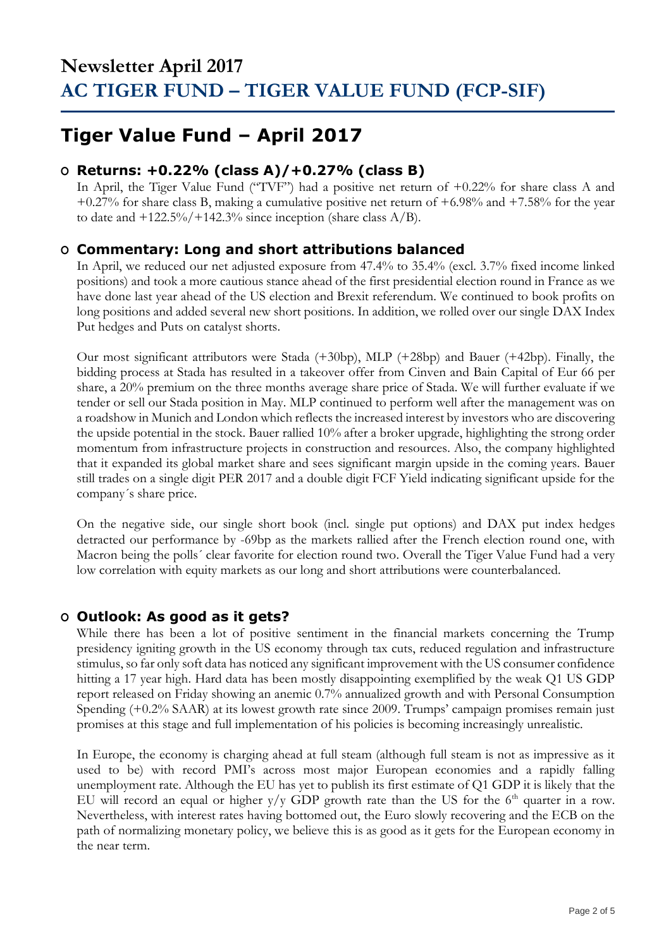## **Tiger Value Fund – April 2017**

### **O Returns: +0.22% (class A)/+0.27% (class B)**

In April, the Tiger Value Fund ("TVF") had a positive net return of +0.22% for share class A and +0.27% for share class B, making a cumulative positive net return of +6.98% and +7.58% for the year to date and  $+122.5\%/+142.3\%$  since inception (share class A/B).

### **O Commentary: Long and short attributions balanced**

In April, we reduced our net adjusted exposure from 47.4% to 35.4% (excl. 3.7% fixed income linked positions) and took a more cautious stance ahead of the first presidential election round in France as we have done last year ahead of the US election and Brexit referendum. We continued to book profits on long positions and added several new short positions. In addition, we rolled over our single DAX Index Put hedges and Puts on catalyst shorts.

Our most significant attributors were Stada (+30bp), MLP (+28bp) and Bauer (+42bp). Finally, the bidding process at Stada has resulted in a takeover offer from Cinven and Bain Capital of Eur 66 per share, a 20% premium on the three months average share price of Stada. We will further evaluate if we tender or sell our Stada position in May. MLP continued to perform well after the management was on a roadshow in Munich and London which reflects the increased interest by investors who are discovering the upside potential in the stock. Bauer rallied 10% after a broker upgrade, highlighting the strong order momentum from infrastructure projects in construction and resources. Also, the company highlighted that it expanded its global market share and sees significant margin upside in the coming years. Bauer still trades on a single digit PER 2017 and a double digit FCF Yield indicating significant upside for the company´s share price.

On the negative side, our single short book (incl. single put options) and DAX put index hedges detracted our performance by -69bp as the markets rallied after the French election round one, with Macron being the polls´ clear favorite for election round two. Overall the Tiger Value Fund had a very low correlation with equity markets as our long and short attributions were counterbalanced.

### **O Outlook: As good as it gets?**

While there has been a lot of positive sentiment in the financial markets concerning the Trump presidency igniting growth in the US economy through tax cuts, reduced regulation and infrastructure stimulus, so far only soft data has noticed any significant improvement with the US consumer confidence hitting a 17 year high. Hard data has been mostly disappointing exemplified by the weak Q1 US GDP report released on Friday showing an anemic 0.7% annualized growth and with Personal Consumption Spending (+0.2% SAAR) at its lowest growth rate since 2009. Trumps' campaign promises remain just promises at this stage and full implementation of his policies is becoming increasingly unrealistic.

In Europe, the economy is charging ahead at full steam (although full steam is not as impressive as it used to be) with record PMI's across most major European economies and a rapidly falling unemployment rate. Although the EU has yet to publish its first estimate of Q1 GDP it is likely that the EU will record an equal or higher  $y/y$  GDP growth rate than the US for the 6<sup>th</sup> quarter in a row. Nevertheless, with interest rates having bottomed out, the Euro slowly recovering and the ECB on the path of normalizing monetary policy, we believe this is as good as it gets for the European economy in the near term.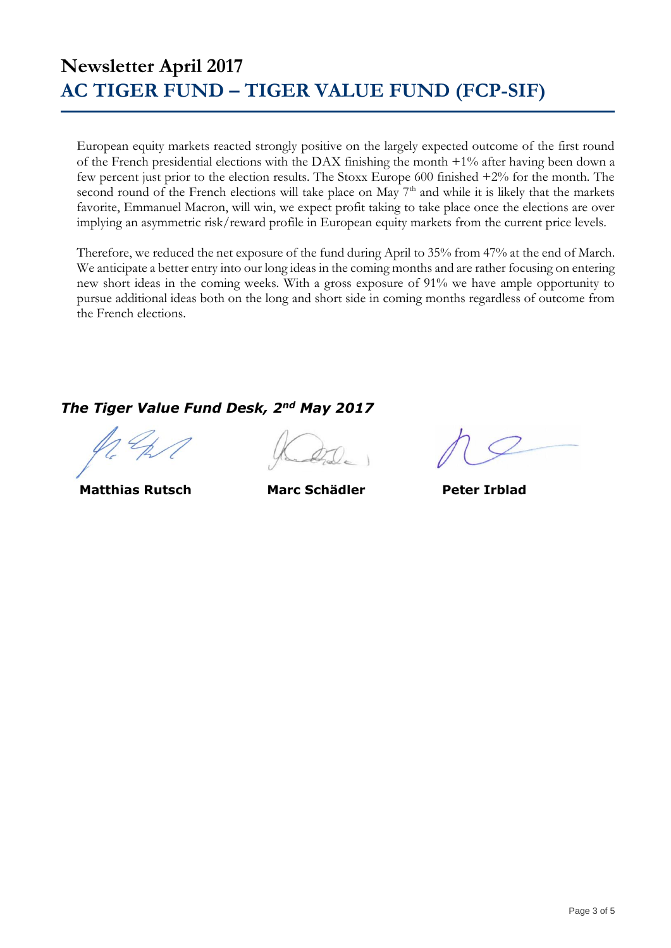European equity markets reacted strongly positive on the largely expected outcome of the first round of the French presidential elections with the DAX finishing the month +1% after having been down a few percent just prior to the election results. The Stoxx Europe 600 finished +2% for the month. The second round of the French elections will take place on May  $7<sup>th</sup>$  and while it is likely that the markets favorite, Emmanuel Macron, will win, we expect profit taking to take place once the elections are over implying an asymmetric risk/reward profile in European equity markets from the current price levels.

Therefore, we reduced the net exposure of the fund during April to 35% from 47% at the end of March. We anticipate a better entry into our long ideas in the coming months and are rather focusing on entering new short ideas in the coming weeks. With a gross exposure of 91% we have ample opportunity to pursue additional ideas both on the long and short side in coming months regardless of outcome from the French elections.

### *The Tiger Value Fund Desk, 2nd May 2017*

 **Matthias Rutsch Marc Schädler Peter Irblad**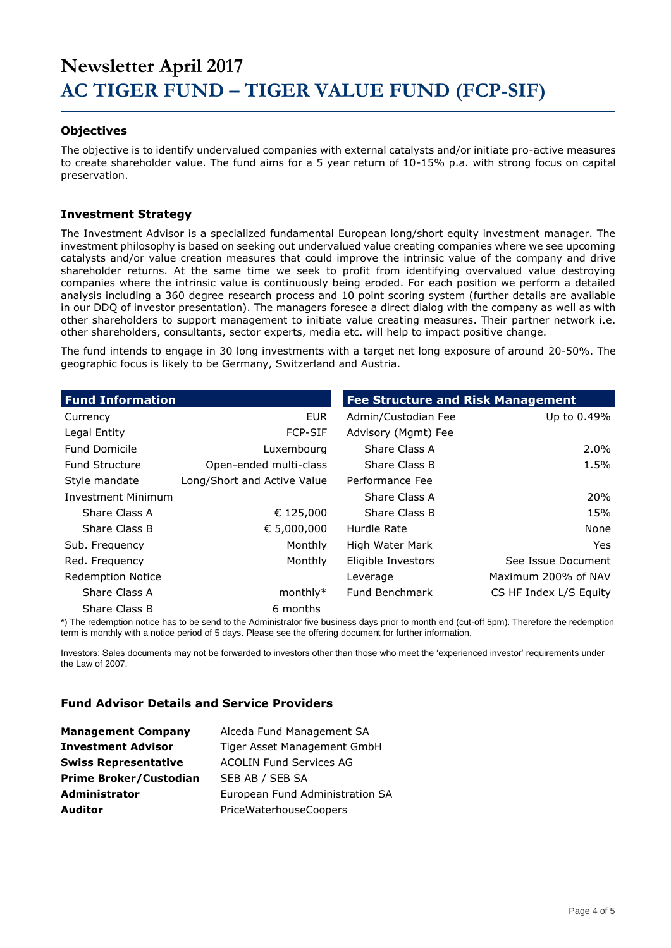#### **Objectives**

The objective is to identify undervalued companies with external catalysts and/or initiate pro-active measures to create shareholder value. The fund aims for a 5 year return of 10-15% p.a. with strong focus on capital preservation.

#### **Investment Strategy**

The Investment Advisor is a specialized fundamental European long/short equity investment manager. The investment philosophy is based on seeking out undervalued value creating companies where we see upcoming catalysts and/or value creation measures that could improve the intrinsic value of the company and drive shareholder returns. At the same time we seek to profit from identifying overvalued value destroying companies where the intrinsic value is continuously being eroded. For each position we perform a detailed analysis including a 360 degree research process and 10 point scoring system (further details are available in our DDQ of investor presentation). The managers foresee a direct dialog with the company as well as with other shareholders to support management to initiate value creating measures. Their partner network i.e. other shareholders, consultants, sector experts, media etc. will help to impact positive change.

The fund intends to engage in 30 long investments with a target net long exposure of around 20-50%. The geographic focus is likely to be Germany, Switzerland and Austria.

| <b>Fund Information</b>  |                             | <b>Fee Structure and Risk Management</b> |                        |
|--------------------------|-----------------------------|------------------------------------------|------------------------|
| Currency                 | <b>EUR</b>                  | Admin/Custodian Fee                      | Up to 0.49%            |
| Legal Entity             | <b>FCP-SIF</b>              | Advisory (Mgmt) Fee                      |                        |
| <b>Fund Domicile</b>     | Luxembourg                  | Share Class A                            | $2.0\%$                |
| <b>Fund Structure</b>    | Open-ended multi-class      | Share Class B                            | 1.5%                   |
| Style mandate            | Long/Short and Active Value | Performance Fee                          |                        |
| Investment Minimum       |                             | Share Class A                            | <b>20%</b>             |
| Share Class A            | € 125,000                   | Share Class B                            | 15%                    |
| Share Class B            | € 5,000,000                 | Hurdle Rate                              | None                   |
| Sub. Frequency           | Monthly                     | High Water Mark                          | Yes.                   |
| Red. Frequency           | Monthly                     | Eligible Investors                       | See Issue Document     |
| <b>Redemption Notice</b> |                             | Leverage                                 | Maximum 200% of NAV    |
| Share Class A            | $monthly*$                  | Fund Benchmark                           | CS HF Index L/S Equity |
| Share Class B            | 6 months                    |                                          |                        |

\*) The redemption notice has to be send to the Administrator five business days prior to month end (cut-off 5pm). Therefore the redemption term is monthly with a notice period of 5 days. Please see the offering document for further information.

Investors: Sales documents may not be forwarded to investors other than those who meet the 'experienced investor' requirements under the Law of 2007.

#### **Fund Advisor Details and Service Providers**

| <b>Management Company</b>     | Alceda Fund Management SA       |
|-------------------------------|---------------------------------|
| <b>Investment Advisor</b>     | Tiger Asset Management GmbH     |
| <b>Swiss Representative</b>   | <b>ACOLIN Fund Services AG</b>  |
| <b>Prime Broker/Custodian</b> | SEB AB / SEB SA                 |
| <b>Administrator</b>          | European Fund Administration SA |
| <b>Auditor</b>                | PriceWaterhouseCoopers          |